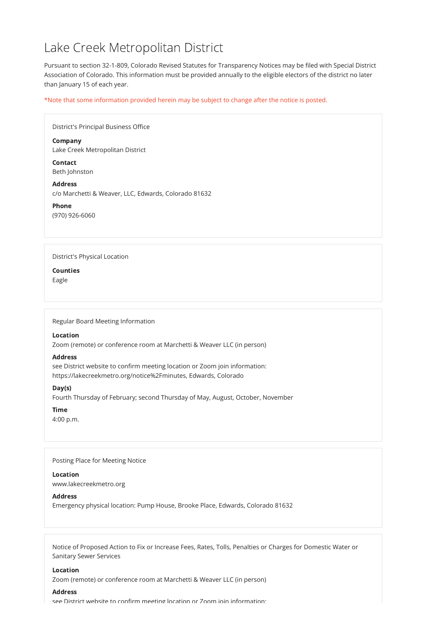# Lake Creek Metropolitan District

Pursuant to section 32-1-809, Colorado Revised Statutes for Transparency Notices may be filed with Special District Association of Colorado. This information must be provided annually to the eligible electors of the district no later than January 15 of each year.

\*Note that some information provided herein may be subject to change after the notice is posted.

| District's Principal Business Office                                   |
|------------------------------------------------------------------------|
| <b>Company</b><br>Lake Creek Metropolitan District                     |
| <b>Contact</b><br>Beth Johnston                                        |
| <b>Address</b><br>c/o Marchetti & Weaver, LLC, Edwards, Colorado 81632 |
| <b>Phone</b><br>(970) 926-6060                                         |
|                                                                        |
| <b>District's Physical Location</b>                                    |
| <b>Counties</b><br>Eagle                                               |
|                                                                        |
|                                                                        |

Regular Board Meeting Information

Location

Zoom (remote) or conference room at Marchetti & Weaver LLC (in person)

# Address

see District website to confirm meeting location or Zoom join information: https://lakecreekmetro.org/notice%2Fminutes, Edwards, Colorado

# Day(s)

Fourth Thursday of February; second Thursday of May, August, October, November

# Time

4:00 p.m.

Posting Place for Meeting Notice

### Location

www.lakecreekmetro.org

**Address** 

Emergency physical location: Pump House, Brooke Place, Edwards, Colorado 81632

Notice of Proposed Action to Fix or Increase Fees, Rates, Tolls, Penalties or Charges for Domestic Water or Sanitary Sewer Services

### Location

Zoom (remote) or conference room at Marchetti & Weaver LLC (in person)

### Address

see District website to confirm meeting location or Zoom join information: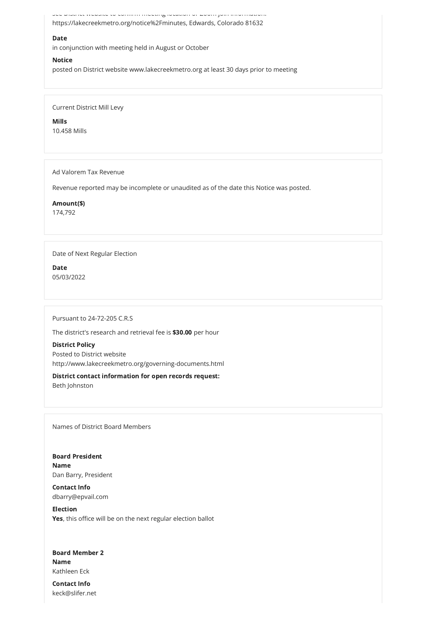see District website to confirm meeting location or Zoom join information:

https://lakecreekmetro.org/notice%2Fminutes, Edwards, Colorado 81632

## Date

in conjunction with meeting held in August or October

### **Notice**

posted on District website www.lakecreekmetro.org at least 30 days prior to meeting

Current District Mill Levy

Mills 10.458 Mills

Ad Valorem Tax Revenue

Revenue reported may be incomplete or unaudited as of the date this Notice was posted.

Amount(\$)

174,792

# Date of Next Regular Election

Date 05/03/2022

Pursuant to 24-72-205 C.R.S

The district's research and retrieval fee is \$30.00 per hour

# District Policy

Posted to District website http://www.lakecreekmetro.org/governing-documents.html

District contact information for open records request: Beth Johnston

Names of District Board Members

Board President Name

Dan Barry, President

## Contact Info

dbarry@epvail.com

### Election

Yes, this office will be on the next regular election ballot

Board Member 2 Name Kathleen Eck Contact Info

keck@slifer.net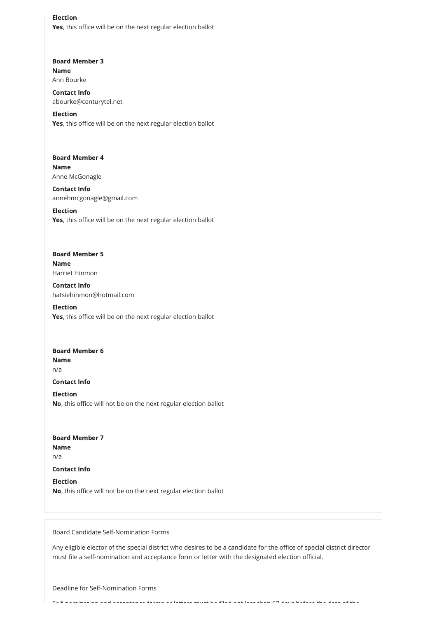Election Yes, this office will be on the next regular election ballot

# Board Member 3 Name Ann Bourke

Election Yes, this office will be on the next regular election ballot

Board Member 4 Name Anne McGonagle

Election Yes, this office will be on the next regular election ballot

Contact Info abourke@centurytel.net

# Board Member 5 Name Harriet Hinmon

Election Yes, this office will be on the next regular election ballot

# Board Member 6 Name n/a

Contact Info annehmcgonagle@gmail.com

Board Member 7 Name n/a

Contact Info hatsiehinmon@hotmail.com

Contact Info

Election No, this office will not be on the next regular election ballot

### Contact Info

### Election

No, this office will not be on the next regular election ballot

Board Candidate Self-Nomination Forms

Any eligible elector of the special district who desires to be a candidate for the office of special district director must file a self-nomination and acceptance form or letter with the designated election official.

Deadline for Self-Nomination Forms

Self nomination and acceptance forms or letters must be filed not less than 67 days before the date of the